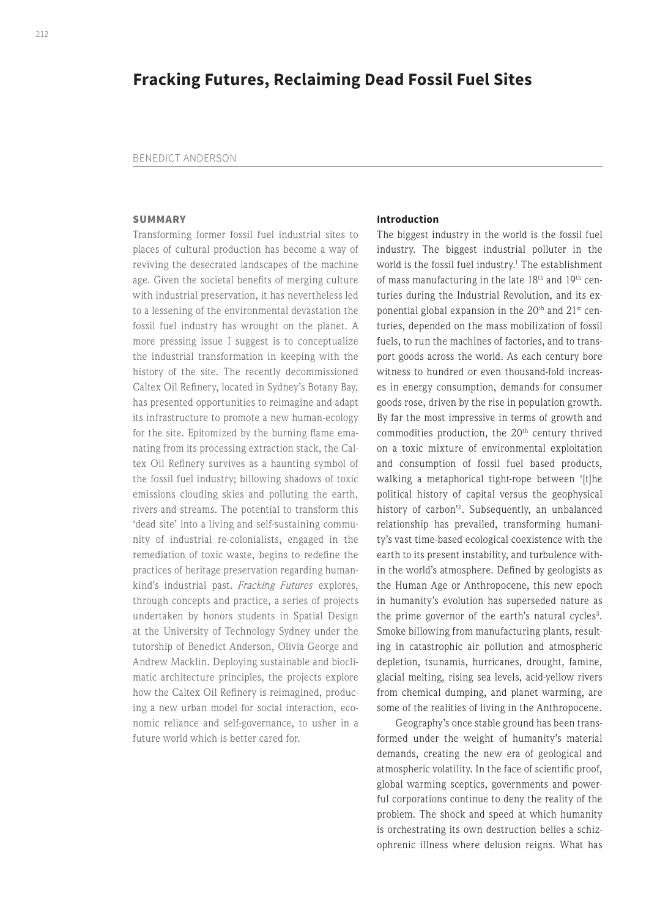# **Fracking Futures, Reclaiming Dead Fossil Fuel Sites**

#### BENEDICT ANDERSON

## **SUMMARY**

Transforming former fossil fuel industrial sites to places of cultural production has become a way of reviving the desecrated landscapes of the machine age. Given the societal benefits of merging culture with industrial preservation, it has nevertheless led to a lessening of the environmental devastation the fossil fuel industry has wrought on the planet. A more pressing issue I suggest is to conceptualize the industrial transformation in keeping with the history of the site. The recently decommissioned Caltex Oil Refinery, located in Sydney's Botany Bay, has presented opportunities to reimagine and adapt its infrastructure to promote a new human-ecology for the site. Epitomized by the burning flame emanating from its processing extraction stack, the Caltex Oil Refinery survives as a haunting symbol of the fossil fuel industry; billowing shadows of toxic emissions clouding skies and polluting the earth, rivers and streams. The potential to transform this 'dead site' into a living and self-sustaining community of industrial re-colonialists, engaged in the remediation of toxic waste, begins to redefine the practices of heritage preservation regarding humankind's industrial past. *Fracking Futures* explores, through concepts and practice, a series of projects undertaken by honors students in Spatial Design at the University of Technology Sydney under the tutorship of Benedict Anderson, Olivia George and Andrew Macklin. Deploying sustainable and bioclimatic architecture principles, the projects explore how the Caltex Oil Refinery is reimagined, producing a new urban model for social interaction, economic reliance and self-governance, to usher in a future world which is better cared for.

#### **Introduction**

The biggest industry in the world is the fossil fuel industry. The biggest industrial polluter in the world is the fossil fuel industry.<sup>1</sup> The establishment of mass manufacturing in the late 18<sup>th</sup> and 19<sup>th</sup> centuries during the Industrial Revolution, and its exponential global expansion in the 20<sup>th</sup> and 21<sup>st</sup> centuries, depended on the mass mobilization of fossil fuels, to run the machines of factories, and to transport goods across the world. As each century bore witness to hundred or even thousand-fold increases in energy consumption, demands for consumer goods rose, driven by the rise in population growth. By far the most impressive in terms of growth and commodities production, the 20<sup>th</sup> century thrived on a toxic mixture of environmental exploitation and consumption of fossil fuel based products, walking a metaphorical tight-rope between '[t]he political history of capital versus the geophysical history of carbon'2 . Subsequently, an unbalanced relationship has prevailed, transforming humanity's vast time-based ecological coexistence with the earth to its present instability, and turbulence within the world's atmosphere. Defined by geologists as the Human Age or Anthropocene, this new epoch in humanity's evolution has superseded nature as the prime governor of the earth's natural cycles<sup>3</sup>. Smoke billowing from manufacturing plants, resulting in catastrophic air pollution and atmospheric depletion, tsunamis, hurricanes, drought, famine, glacial melting, rising sea levels, acid-yellow rivers from chemical dumping, and planet warming, are some of the realities of living in the Anthropocene.

Geography's once stable ground has been transformed under the weight of humanity's material demands, creating the new era of geological and atmospheric volatility. In the face of scientific proof, global warming sceptics, governments and powerful corporations continue to deny the reality of the problem. The shock and speed at which humanity is orchestrating its own destruction belies a schizophrenic illness where delusion reigns. What has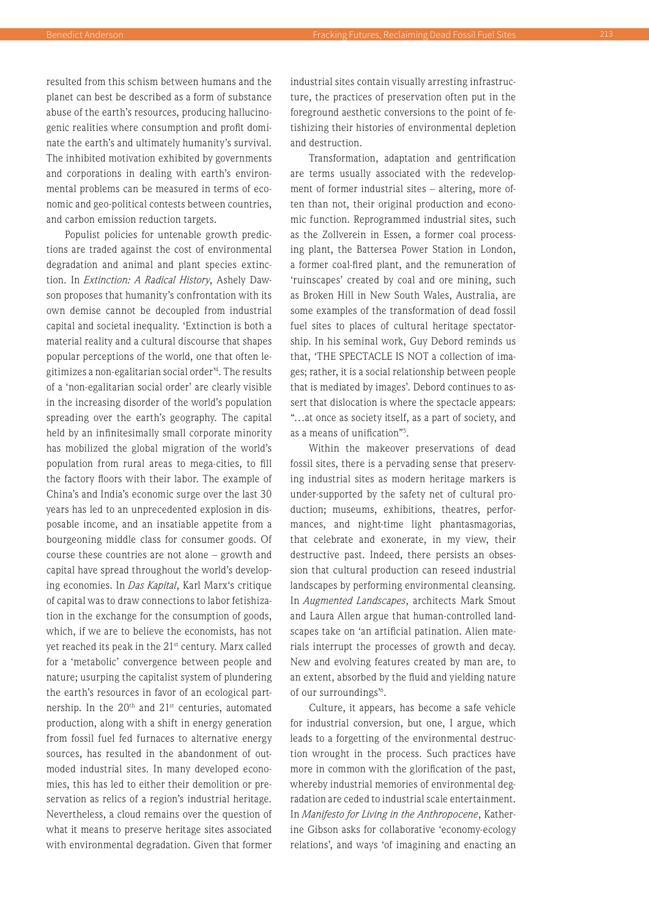resulted from this schism between humans and the planet can best be described as a form of substance abuse of the earth's resources, producing hallucinogenic realities where consumption and profit dominate the earth's and ultimately humanity's survival. The inhibited motivation exhibited by governments and corporations in dealing with earth's environmental problems can be measured in terms of economic and geo-political contests between countries, and carbon emission reduction targets.

Populist policies for untenable growth predictions are traded against the cost of environmental degradation and animal and plant species extinction. In *Extinction: A Radical History*, Ashely Dawson proposes that humanity's confrontation with its own demise cannot be decoupled from industrial capital and societal inequality. 'Extinction is both a material reality and a cultural discourse that shapes popular perceptions of the world, one that often legitimizes a non-egalitarian social order'4 . The results of a 'non-egalitarian social order' are clearly visible in the increasing disorder of the world's population spreading over the earth's geography. The capital held by an infinitesimally small corporate minority has mobilized the global migration of the world's population from rural areas to mega-cities, to fill the factory floors with their labor. The example of China's and India's economic surge over the last 30 years has led to an unprecedented explosion in disposable income, and an insatiable appetite from a bourgeoning middle class for consumer goods. Of course these countries are not alone – growth and capital have spread throughout the world's developing economies. In *Das Kapital*, Karl Marx's critique of capital was to draw connections to labor fetishization in the exchange for the consumption of goods, which, if we are to believe the economists, has not yet reached its peak in the 21<sup>st</sup> century. Marx called for a 'metabolic' convergence between people and nature; usurping the capitalist system of plundering the earth's resources in favor of an ecological partnership. In the 20<sup>th</sup> and 21<sup>st</sup> centuries, automated production, along with a shift in energy generation from fossil fuel fed furnaces to alternative energy sources, has resulted in the abandonment of outmoded industrial sites. In many developed economies, this has led to either their demolition or preservation as relics of a region's industrial heritage. Nevertheless, a cloud remains over the question of what it means to preserve heritage sites associated with environmental degradation. Given that former

industrial sites contain visually arresting infrastructure, the practices of preservation often put in the foreground aesthetic conversions to the point of fetishizing their histories of environmental depletion and destruction.

Transformation, adaptation and gentrification are terms usually associated with the redevelopment of former industrial sites – altering, more often than not, their original production and economic function. Reprogrammed industrial sites, such as the Zollverein in Essen, a former coal processing plant, the Battersea Power Station in London, a former coal-fired plant, and the remuneration of 'ruinscapes' created by coal and ore mining, such as Broken Hill in New South Wales, Australia, are some examples of the transformation of dead fossil fuel sites to places of cultural heritage spectatorship. In his seminal work, Guy Debord reminds us that, 'THE SPECTACLE IS NOT a collection of images; rather, it is a social relationship between people that is mediated by images'. Debord continues to assert that dislocation is where the spectacle appears: "…at once as society itself, as a part of society, and as a means of unification"5 .

Within the makeover preservations of dead fossil sites, there is a pervading sense that preserving industrial sites as modern heritage markers is under-supported by the safety net of cultural production; museums, exhibitions, theatres, performances, and night-time light phantasmagorias, that celebrate and exonerate, in my view, their destructive past. Indeed, there persists an obsession that cultural production can reseed industrial landscapes by performing environmental cleansing. In *Augmented Landscapes*, architects Mark Smout and Laura Allen argue that human-controlled landscapes take on 'an artificial patination. Alien materials interrupt the processes of growth and decay. New and evolving features created by man are, to an extent, absorbed by the fluid and yielding nature of our surroundings'6 .

Culture, it appears, has become a safe vehicle for industrial conversion, but one, I argue, which leads to a forgetting of the environmental destruction wrought in the process. Such practices have more in common with the glorification of the past, whereby industrial memories of environmental degradation are ceded to industrial scale entertainment. In *Manifesto for Living in the Anthropocene*, Katherine Gibson asks for collaborative 'economy-ecology relations', and ways 'of imagining and enacting an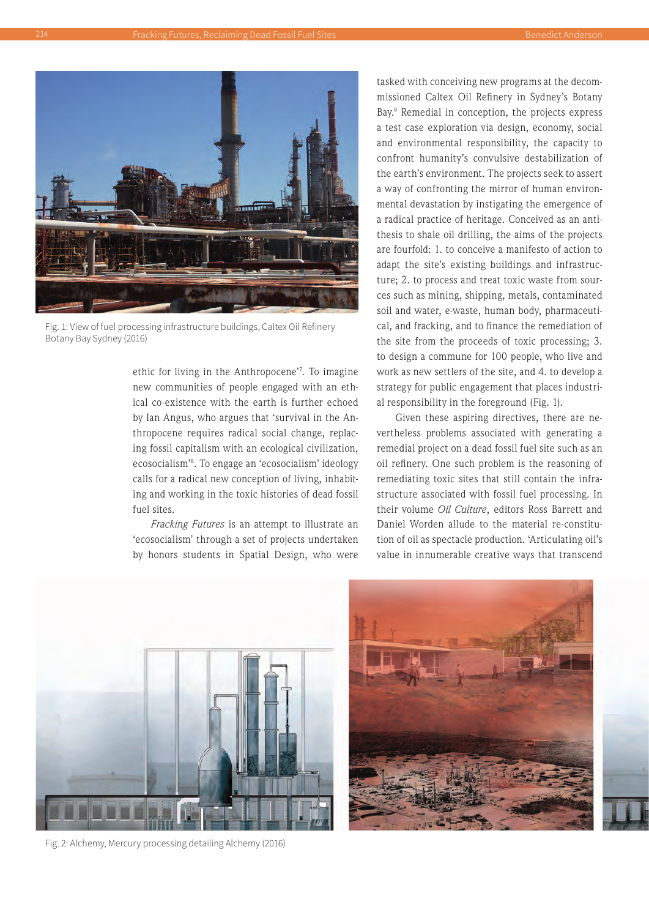

Fig. 1: View of fuel processing infrastructure buildings, Caltex Oil Refinery Botany Bay Sydney (2016)

ethic for living in the Anthropocene'7 . To imagine new communities of people engaged with an ethical co-existence with the earth is further echoed by Ian Angus, who argues that 'survival in the Anthropocene requires radical social change, replacing fossil capitalism with an ecological civilization, ecosocialism'8 . To engage an 'ecosocialism' ideology calls for a radical new conception of living, inhabiting and working in the toxic histories of dead fossil fuel sites.

*Fracking Futures* is an attempt to illustrate an 'ecosocialism' through a set of projects undertaken by honors students in Spatial Design, who were tasked with conceiving new programs at the decommissioned Caltex Oil Refinery in Sydney's Botany Bay.<sup>9</sup> Remedial in conception, the projects express a test case exploration via design, economy, social and environmental responsibility, the capacity to confront humanity's convulsive destabilization of the earth's environment. The projects seek to assert a way of confronting the mirror of human environmental devastation by instigating the emergence of a radical practice of heritage. Conceived as an antithesis to shale oil drilling, the aims of the projects are fourfold: 1. to conceive a manifesto of action to adapt the site's existing buildings and infrastructure; 2. to process and treat toxic waste from sources such as mining, shipping, metals, contaminated soil and water, e-waste, human body, pharmaceutical, and fracking, and to finance the remediation of the site from the proceeds of toxic processing; 3. to design a commune for 100 people, who live and work as new settlers of the site, and 4. to develop a strategy for public engagement that places industrial responsibility in the foreground (Fig. 1).

Given these aspiring directives, there are nevertheless problems associated with generating a remedial project on a dead fossil fuel site such as an oil refinery. One such problem is the reasoning of remediating toxic sites that still contain the infrastructure associated with fossil fuel processing. In their volume *Oil Culture*, editors Ross Barrett and Daniel Worden allude to the material re-constitution of oil as spectacle production. 'Articulating oil's value in innumerable creative ways that transcend



Fig. 2: Alchemy, Mercury processing detailing Alchemy (2016)

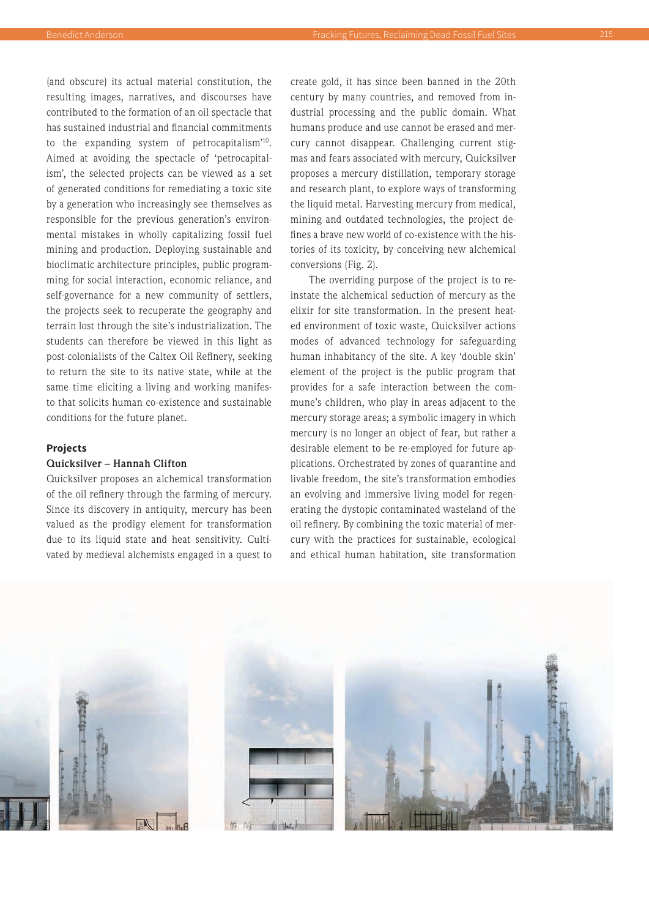(and obscure) its actual material constitution, the resulting images, narratives, and discourses have contributed to the formation of an oil spectacle that has sustained industrial and financial commitments to the expanding system of petrocapitalism'10. Aimed at avoiding the spectacle of 'petrocapitalism', the selected projects can be viewed as a set of generated conditions for remediating a toxic site by a generation who increasingly see themselves as responsible for the previous generation's environmental mistakes in wholly capitalizing fossil fuel mining and production. Deploying sustainable and bioclimatic architecture principles, public programming for social interaction, economic reliance, and self-governance for a new community of settlers, the projects seek to recuperate the geography and terrain lost through the site's industrialization. The students can therefore be viewed in this light as

post-colonialists of the Caltex Oil Refinery, seeking to return the site to its native state, while at the same time eliciting a living and working manifesto that solicits human co-existence and sustainable conditions for the future planet.

## **Projects**

## **Quicksilver – Hannah Clifton**

Quicksilver proposes an alchemical transformation of the oil refinery through the farming of mercury. Since its discovery in antiquity, mercury has been valued as the prodigy element for transformation due to its liquid state and heat sensitivity. Cultivated by medieval alchemists engaged in a quest to create gold, it has since been banned in the 20th century by many countries, and removed from industrial processing and the public domain. What humans produce and use cannot be erased and mercury cannot disappear. Challenging current stigmas and fears associated with mercury, Quicksilver proposes a mercury distillation, temporary storage and research plant, to explore ways of transforming the liquid metal. Harvesting mercury from medical, mining and outdated technologies, the project defines a brave new world of co-existence with the histories of its toxicity, by conceiving new alchemical conversions (Fig. 2).

The overriding purpose of the project is to reinstate the alchemical seduction of mercury as the elixir for site transformation. In the present heated environment of toxic waste, Quicksilver actions modes of advanced technology for safeguarding human inhabitancy of the site. A key 'double skin' element of the project is the public program that provides for a safe interaction between the commune's children, who play in areas adjacent to the mercury storage areas; a symbolic imagery in which mercury is no longer an object of fear, but rather a desirable element to be re-employed for future applications. Orchestrated by zones of quarantine and livable freedom, the site's transformation embodies an evolving and immersive living model for regenerating the dystopic contaminated wasteland of the oil refinery. By combining the toxic material of mercury with the practices for sustainable, ecological and ethical human habitation, site transformation

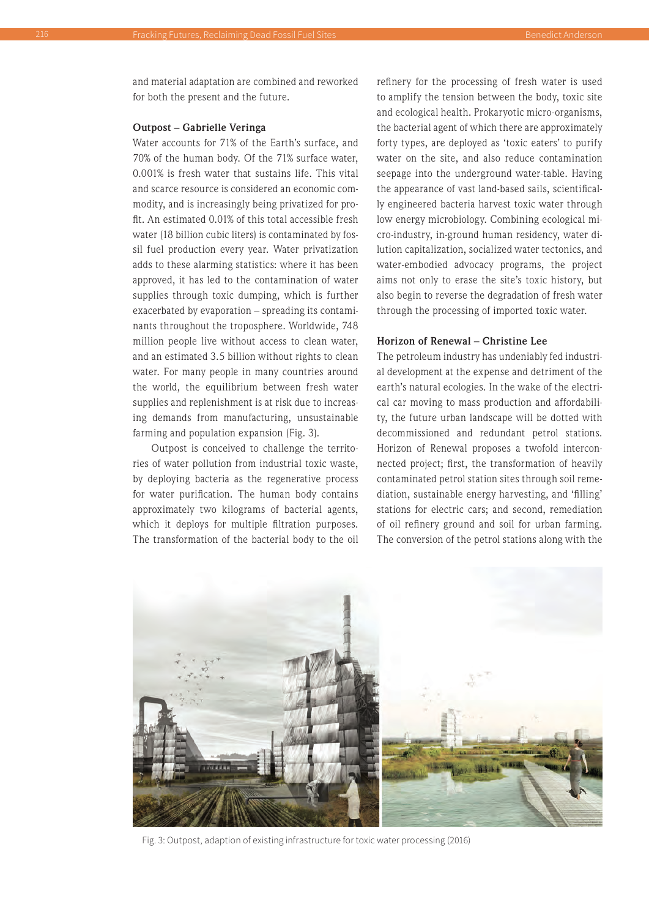and material adaptation are combined and reworked for both the present and the future.

#### **Outpost – Gabrielle Veringa**

Water accounts for 71% of the Earth's surface, and 70% of the human body. Of the 71% surface water, 0.001% is fresh water that sustains life. This vital and scarce resource is considered an economic commodity, and is increasingly being privatized for profit. An estimated 0.01% of this total accessible fresh water (18 billion cubic liters) is contaminated by fossil fuel production every year. Water privatization adds to these alarming statistics: where it has been approved, it has led to the contamination of water supplies through toxic dumping, which is further exacerbated by evaporation – spreading its contaminants throughout the troposphere. Worldwide, 748 million people live without access to clean water, and an estimated 3.5 billion without rights to clean water. For many people in many countries around the world, the equilibrium between fresh water supplies and replenishment is at risk due to increasing demands from manufacturing, unsustainable farming and population expansion (Fig. 3).

Outpost is conceived to challenge the territories of water pollution from industrial toxic waste, by deploying bacteria as the regenerative process for water purification. The human body contains approximately two kilograms of bacterial agents, which it deploys for multiple filtration purposes. The transformation of the bacterial body to the oil

refinery for the processing of fresh water is used to amplify the tension between the body, toxic site and ecological health. Prokaryotic micro-organisms, the bacterial agent of which there are approximately forty types, are deployed as 'toxic eaters' to purify water on the site, and also reduce contamination seepage into the underground water-table. Having the appearance of vast land-based sails, scientifically engineered bacteria harvest toxic water through low energy microbiology. Combining ecological micro-industry, in-ground human residency, water dilution capitalization, socialized water tectonics, and water-embodied advocacy programs, the project aims not only to erase the site's toxic history, but also begin to reverse the degradation of fresh water through the processing of imported toxic water.

## **Horizon of Renewal – Christine Lee**

The petroleum industry has undeniably fed industrial development at the expense and detriment of the earth's natural ecologies. In the wake of the electrical car moving to mass production and affordability, the future urban landscape will be dotted with decommissioned and redundant petrol stations. Horizon of Renewal proposes a twofold interconnected project; first, the transformation of heavily contaminated petrol station sites through soil remediation, sustainable energy harvesting, and 'filling' stations for electric cars; and second, remediation of oil refinery ground and soil for urban farming. The conversion of the petrol stations along with the



Fig. 3: Outpost, adaption of existing infrastructure for toxic water processing (2016)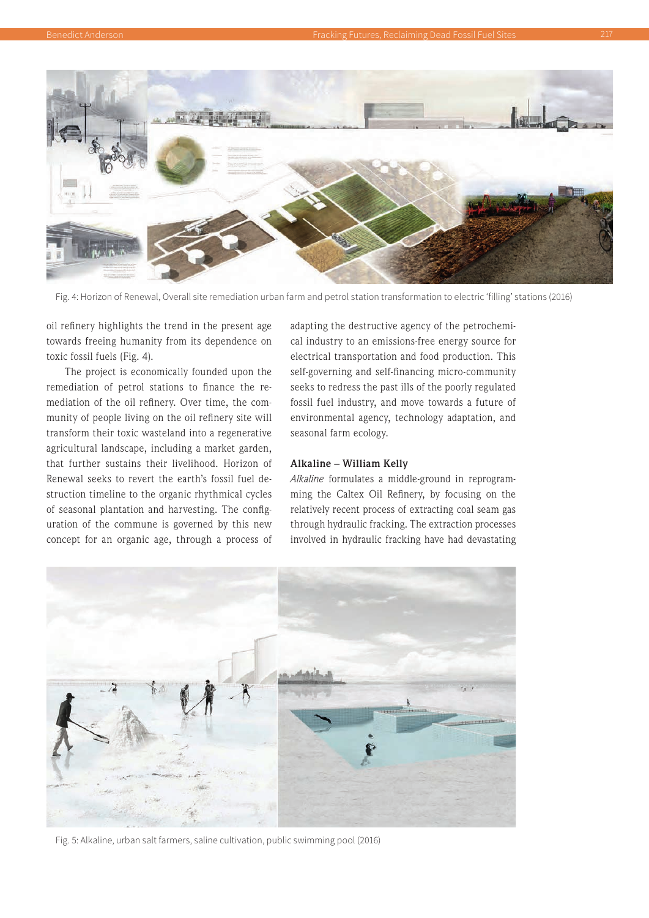

Fig. 4: Horizon of Renewal, Overall site remediation urban farm and petrol station transformation to electric 'filling' stations (2016)

oil refinery highlights the trend in the present age towards freeing humanity from its dependence on toxic fossil fuels (Fig. 4).

The project is economically founded upon the remediation of petrol stations to finance the remediation of the oil refinery. Over time, the community of people living on the oil refinery site will transform their toxic wasteland into a regenerative agricultural landscape, including a market garden, that further sustains their livelihood. Horizon of Renewal seeks to revert the earth's fossil fuel destruction timeline to the organic rhythmical cycles of seasonal plantation and harvesting. The configuration of the commune is governed by this new concept for an organic age, through a process of

adapting the destructive agency of the petrochemical industry to an emissions-free energy source for electrical transportation and food production. This self-governing and self-financing micro-community seeks to redress the past ills of the poorly regulated fossil fuel industry, and move towards a future of environmental agency, technology adaptation, and seasonal farm ecology.

## **Alkaline – William Kelly**

*Alkaline* formulates a middle-ground in reprogramming the Caltex Oil Refinery, by focusing on the relatively recent process of extracting coal seam gas through hydraulic fracking. The extraction processes involved in hydraulic fracking have had devastating



Fig. 5: Alkaline, urban salt farmers, saline cultivation, public swimming pool (2016)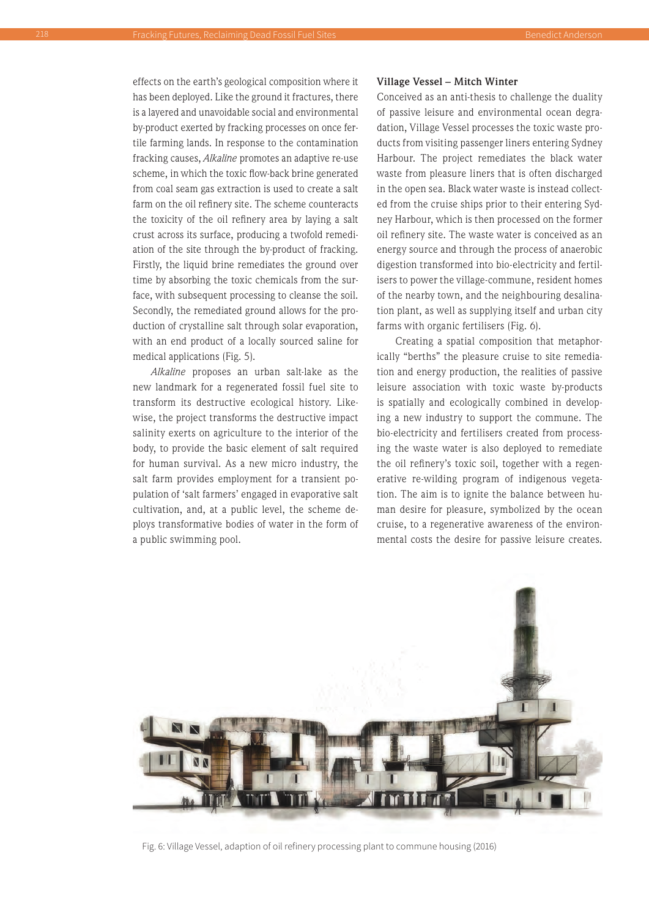effects on the earth's geological composition where it has been deployed. Like the ground it fractures, there is a layered and unavoidable social and environmental by-product exerted by fracking processes on once fertile farming lands. In response to the contamination fracking causes, *Alkaline* promotes an adaptive re-use scheme, in which the toxic flow-back brine generated from coal seam gas extraction is used to create a salt farm on the oil refinery site. The scheme counteracts the toxicity of the oil refinery area by laying a salt crust across its surface, producing a twofold remediation of the site through the by-product of fracking. Firstly, the liquid brine remediates the ground over time by absorbing the toxic chemicals from the surface, with subsequent processing to cleanse the soil. Secondly, the remediated ground allows for the production of crystalline salt through solar evaporation, with an end product of a locally sourced saline for medical applications (Fig. 5).

*Alkaline* proposes an urban salt-lake as the new landmark for a regenerated fossil fuel site to transform its destructive ecological history. Likewise, the project transforms the destructive impact salinity exerts on agriculture to the interior of the body, to provide the basic element of salt required for human survival. As a new micro industry, the salt farm provides employment for a transient population of 'salt farmers' engaged in evaporative salt cultivation, and, at a public level, the scheme deploys transformative bodies of water in the form of a public swimming pool.

#### **Village Vessel – Mitch Winter**

Conceived as an anti-thesis to challenge the duality of passive leisure and environmental ocean degradation, Village Vessel processes the toxic waste products from visiting passenger liners entering Sydney Harbour. The project remediates the black water waste from pleasure liners that is often discharged in the open sea. Black water waste is instead collected from the cruise ships prior to their entering Sydney Harbour, which is then processed on the former oil refinery site. The waste water is conceived as an energy source and through the process of anaerobic digestion transformed into bio-electricity and fertilisers to power the village-commune, resident homes of the nearby town, and the neighbouring desalination plant, as well as supplying itself and urban city farms with organic fertilisers (Fig. 6).

Creating a spatial composition that metaphorically "berths" the pleasure cruise to site remediation and energy production, the realities of passive leisure association with toxic waste by-products is spatially and ecologically combined in developing a new industry to support the commune. The bio-electricity and fertilisers created from processing the waste water is also deployed to remediate the oil refinery's toxic soil, together with a regenerative re-wilding program of indigenous vegetation. The aim is to ignite the balance between human desire for pleasure, symbolized by the ocean cruise, to a regenerative awareness of the environmental costs the desire for passive leisure creates.



Fig. 6: Village Vessel, adaption of oil refinery processing plant to commune housing (2016)